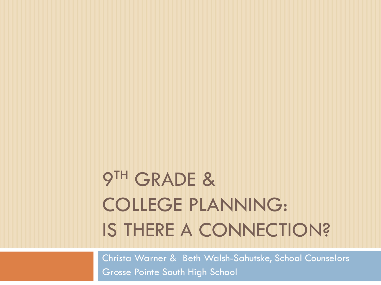# 9 TH GRADE & COLLEGE PLANNING: IS THERE A CONNECTION?

Christa Warner & Beth Walsh-Sahutske, School Counselors Grosse Pointe South High School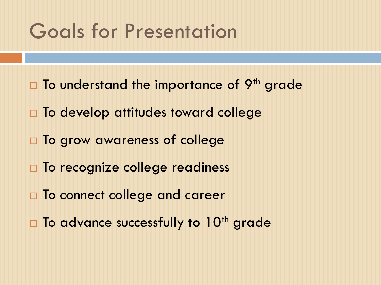### Goals for Presentation

- $\Box$  To understand the importance of 9<sup>th</sup> grade
- $\square$  To develop attitudes toward college
- $\square$  To grow awareness of college
- $\Box$  To recognize college readiness
- $\Box$  To connect college and career
- $\Box$  To advance successfully to 10<sup>th</sup> grade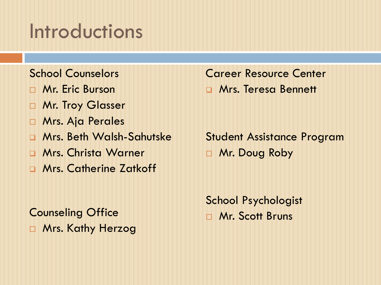#### Introductions

School Counselors

- Mr. Eric Burson
- **D. Mr. Troy Glasser**
- Mrs. Aja Perales
- **D** Mrs. Beth Walsh-Sahutske
- Mrs. Christa Warner
- Mrs. Catherine Zatkoff

Career Resource Center **D.** Mrs. Teresa Bennett

Student Assistance Program Mr. Doug Roby

Counseling Office **D** Mrs. Kathy Herzog School Psychologist Mr. Scott Bruns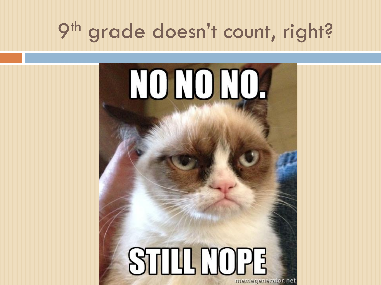# th grade doesn't count, right?

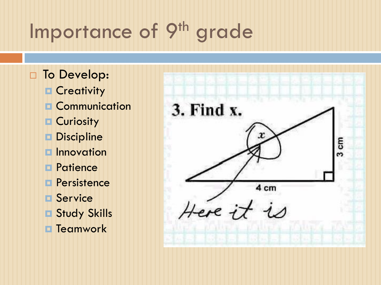## Importance of 9<sup>th</sup> grade

- D To Develop:
	- **D** Creativity
	- **E** Communication
	- **D** Curiosity
	- **Discipline**
	- **<u>Elnnovation</u>**
	- **E** Patience
	- **Persistence**
	- **E** Service
	- **E** Study Skills
	- **Teamwork**

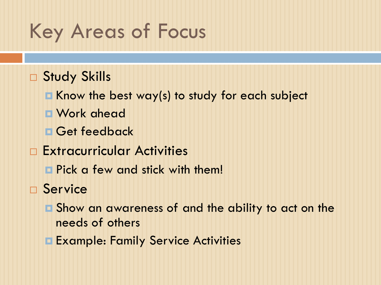### Key Areas of Focus

#### □ Study Skills

- **E Know the best way(s) to study for each subject**
- Work ahead
- **E** Get feedback
- **Extracurricular Activities** 
	- **Pick a few and stick with them!**
- Service
	- Show an awareness of and the ability to act on the needs of others
	- **Example: Family Service Activities**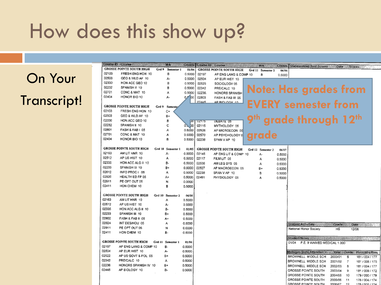#### How does this show up?

On Your Transcript!

|       | Course ID Course                |        | Mrk               |            |       | Credits Course ID Course        | McC South<br><b>ANGER</b> |        | Credits Standardized Test Scores                       | Date    |                | Scores:         |
|-------|---------------------------------|--------|-------------------|------------|-------|---------------------------------|---------------------------|--------|--------------------------------------------------------|---------|----------------|-----------------|
|       | <b>GROSSE POINTE SOUTH HIGH</b> | Grd 9  | Semester 1        | 01/04      |       | <b>GROSSE POINTE SOUTH HIGH</b> | Grd 11 Semester 2         | 06/06  |                                                        |         |                |                 |
| 02103 | FRESH ENG HON 10                |        | 8                 | 0.5000     | 02197 | AP ENG LANG & COMP 10           | в                         | 0.5000 |                                                        |         |                |                 |
| 02503 | GEO & WLD AF 10                 |        | А-                | 0.5000     | 02504 | AP EUR HIST 10                  |                           |        |                                                        |         |                |                 |
| 02330 | HON ACC GEO 10                  |        | в                 | 0.5000     | 02525 | SOCIOLOGY 05                    |                           |        |                                                        |         |                |                 |
| 02232 | SPANISH II 10                   |        | в                 | 0.5000     | 02342 | PRE/CALC 10                     |                           |        |                                                        |         |                |                 |
| 02701 | CONC & MAT 10                   |        | А                 | 0.5000     | 02236 | HONORS SPANISH                  |                           |        | <b>Note: Has grades from</b>                           |         |                |                 |
| 02404 | HONOR BIO 10                    |        | А.                | 0/100      | 02803 | FASH & FAB III 05               |                           |        |                                                        |         |                |                 |
|       |                                 |        |                   |            | 02445 | AP RIOLOGY 10                   |                           |        |                                                        |         |                |                 |
|       | <b>GROSSE POINTE SOUTH HIGH</b> | Grd 9  | Semester          |            |       |                                 |                           |        | <b>EVERY</b> semester from                             |         |                |                 |
| 02103 | FRESH ENG HON 10                |        | C+                |            |       |                                 |                           |        |                                                        |         |                |                 |
| 02503 |                                 |        |                   |            |       |                                 |                           |        |                                                        |         |                |                 |
| 02330 | GEO & WLD AF 10                 |        | 8+                |            |       |                                 |                           |        | 9th grade through 12th                                 |         |                |                 |
|       | HON ACC GEO 10                  |        | В                 | <b>RUT</b> | 02175 | DEBATE 05                       |                           |        |                                                        |         |                |                 |
| 02232 | SPANISH II 10                   |        | с                 | 0.5, 00    | 02115 | MYTHOLOGY 05                    |                           |        |                                                        |         |                |                 |
| 02801 | FASH & FAB I 05                 |        | А                 | 0.5000     | 02526 | AP MICROECON 05                 |                           |        |                                                        |         |                |                 |
| 02701 | CONC & MAT 10                   |        | А                 | 0.5000     | 02570 | AP PSYCHOLOGY 0                 | grade                     |        |                                                        |         |                |                 |
| 02404 | HONOR BIO 10                    |        | в                 | 0.5000     | 02238 | SPAN V AP 10                    |                           |        |                                                        |         |                |                 |
|       |                                 |        |                   |            |       |                                 |                           |        |                                                        |         |                |                 |
|       | <b>GROSSE POINTE SOUTH HIGH</b> | Grd 18 | Semester 1        | 01/05      |       | <b>GROSSE POINTE SOUTH HIGH</b> | Grd 12 Semester 2         | 06/07  |                                                        |         |                |                 |
| 02163 | AM LIT HNR 10                   |        | д.                | 0.5000     | 02145 | AP ENG LIT & COMP 10            | А-                        | 0.5000 |                                                        |         |                |                 |
| 02512 | AP US HIST 10                   |        | А                 | 0.5000     | 02117 | FILM LIT 05                     | А                         | 0.5000 |                                                        |         |                |                 |
| 02335 | HON ACC ALG II 10               |        | в.                | 0.5000     | 02536 | AM LEG SYS 05                   | А                         | 0.5000 |                                                        |         |                |                 |
| 02233 | SPANISH III 10                  |        | $B+$              | 0.5000     | 02527 | AP MACROECON 05                 | B+                        | 0.5000 |                                                        |         |                |                 |
| 02612 | INFO PROC   05                  |        | A                 | 0.5000     | 02238 | SPAN V AP 10                    | B                         | 0.5000 |                                                        |         |                |                 |
| 02920 | HEALTH ED FP 05                 |        | A÷                | 0.5000     | 02491 | PHYSIOLOGY 05                   | А                         | 0.5000 |                                                        |         |                |                 |
| 02911 | PE OPT OUT 05                   |        | N                 | 0.0000     |       |                                 |                           |        |                                                        |         |                |                 |
| 02411 | HON CHEM 10                     |        | e                 | 0.5000     |       |                                 |                           |        |                                                        |         |                |                 |
|       |                                 |        |                   |            |       |                                 |                           |        |                                                        |         |                |                 |
|       | <b>GROSSE POINTE SOUTH HIGH</b> |        | Grd 10 Semester 2 | 06/05      |       |                                 |                           |        |                                                        |         |                |                 |
| 02163 | AM LIT HNR 10                   |        | А                 | 0.5000     |       |                                 |                           |        |                                                        |         |                |                 |
| 02512 | AP US HIST 10                   |        | А-                | 0.5000     |       |                                 |                           |        |                                                        |         |                |                 |
| 02335 | HON ACC ALG II 10               |        | 8-                | 0.5000     |       |                                 |                           |        |                                                        |         |                |                 |
| 02233 | SPANISH III 10                  |        | B+                | 0.5000     |       |                                 |                           |        |                                                        |         |                |                 |
| 02802 | FASH & FAB II 05                |        |                   |            |       |                                 |                           |        |                                                        |         |                |                 |
| 02824 | INT DES/HOU 06                  |        | A+                | 0.5000     |       |                                 |                           |        |                                                        |         |                |                 |
|       |                                 |        | А                 | 0.5000     |       |                                 |                           |        | <b>Student Activities</b>                              | Grade   |                | Date - Anvila   |
| 02911 | PE OPT OUT 05                   |        | Ν                 | 0.0000     |       |                                 |                           |        | National Honor Society                                 | HŜ      |                | 12/06           |
| 02411 | HON CHEM 10                     |        | $B-$              | 0.5000     |       |                                 |                           |        |                                                        |         |                |                 |
|       |                                 |        |                   |            |       |                                 |                           |        | Student Notes   News Constitution of the Student Notes |         |                |                 |
|       | <b>GROSSE POINTE SOUTH HIGH</b> |        | Grd 11 Semester 1 | 01/06      |       |                                 |                           |        | 01/04 P.E. 9 WAIVED MEDICAL 1.000                      |         |                |                 |
| 02197 | AP ENG LANG & COMP 10           |        | в.                | 0.5000     |       |                                 |                           |        |                                                        |         |                |                 |
| 02504 | AP EUR HIST 10                  |        | д.                | 0,5000     |       |                                 |                           |        | Michigan State Attendances & Year Grade Poss/Abs/Pres. |         |                |                 |
| 02522 | AP US GOVT & POL 05             |        | B+                | 0.5000     |       |                                 |                           |        | BROWNELL MIDDLE SCH                                    | 2000/01 | 6              | 181 / 004 / 177 |
| 02342 | PRE/CALC 10                     |        | А                 | 0.5000     |       |                                 |                           |        | BROWNELL MIDDLE SCH                                    | 2001/02 | $\overline{7}$ | 181 / 006 / 175 |
| 02236 | HONORS SPANISH IV 10            |        | 8+                | 0.5000     |       |                                 |                           |        | BROWNELL MIDDLE SCH                                    | 2002/03 | 8              | 181 / 004 / 177 |
| 02445 | AP BIOLOGY 10                   |        | B-                | 0.5000     |       |                                 |                           |        | GROSSE POINTE SOUTH                                    | 2003/04 | 9              | 181/009/172     |
|       |                                 |        |                   |            |       |                                 |                           |        | <b>GROSSE POINTE SOUTH</b>                             | 2004/05 | 10             | 179/000/179     |
|       |                                 |        |                   |            |       |                                 |                           |        | GROSSE POINTE SOUTH                                    | 2005/06 | 11             | 178 / 004 / 174 |
|       |                                 |        |                   |            |       |                                 |                           |        | GROSSE POINTE SOLITH                                   | 2006/07 | 12             | 176 / 002 / 174 |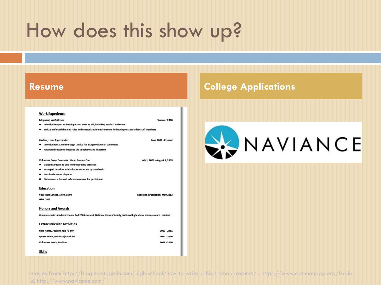#### How does this show up?

#### **Work Experience**

Lifeguard, Wells Beach

Summer 2010

lune 2009 - Present

- Provided support to beach patrons seeking aid, including medical and other
- Strictly enforced the area rules and created a safe environment for beachgoers and other staff members

Cashier, Local Supermarket

- Provided quick and thorough service for a large volume of customers
- Answered customer inquiries via telephone and in person

Volunteer Camp Counselor, Camp SummerFun

July 1, 2009 - August 5, 2009

- Guided campers to and from their daily activities Managed health or safety issues on a case by case basis
- Resolved camper disputes
- Maintained a fun and safe environment for participant

#### **Education**

| Your High School, Town, State | <b>Expected Graduation: May 2013</b> |  |  |  |  |
|-------------------------------|--------------------------------------|--|--|--|--|
| GPA: 3.67                     |                                      |  |  |  |  |

#### **Honors and Awards**

Honors include: Academic Honor Roll 2009-present; National Honors Society; National high school science award recipient.

#### **Extracurricular Activities**

| Club Name, Position held (if any) | 2010 - 2011 |
|-----------------------------------|-------------|
| Sports Team, Leadership Position  | 2009 - 2010 |
| <b>Volunteer Work, Position</b>   | 2008 - 2010 |

#### **Skills**

**Resume College Applications** 



Images from: http://blog.howtogetin.com/high-school/how-to-write-a-high-school-resume/ , https://www.commonapp.org/Login & http://www.naviance.com/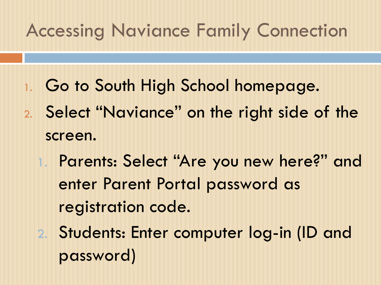#### Accessing Naviance Family Connection

- 1. Go to South High School homepage.
- 2. Select "Naviance" on the right side of the screen.
	- 1. Parents: Select "Are you new here?" and enter Parent Portal password as registration code.
	- 2. Students: Enter computer log-in (ID and password)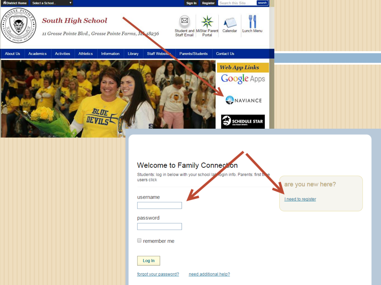

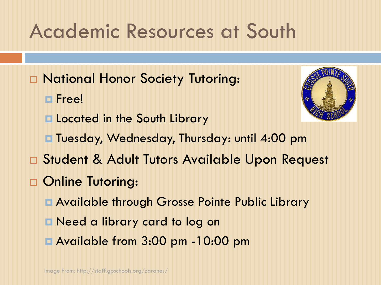## Academic Resources at South

- National Honor Society Tutoring:
	- **Free!**
	- **E** Located in the South Library



- Tuesday, Wednesday, Thursday: until 4:00 pm
- □ Student & Adult Tutors Available Upon Request
- **D** Online Tutoring:
	- Available through Grosse Pointe Public Library
	- **E** Need a library card to log on
	- Available from 3:00 pm -10:00 pm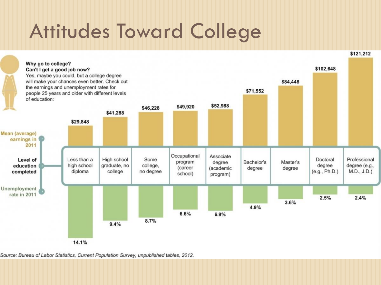### Attitudes Toward College



Source: Bureau of Labor Statistics, Current Population Survey, unpublished tables, 2012.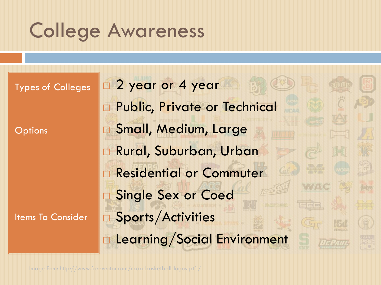#### College Awareness

Types of Colleges

**Options** 

Items To Consider

2 year or 4 year Public, Private or Technical Small, Medium, Large Rural, Suburban, Urban Residential or Commuter Single Sex or Coed □ Sports/Activities Learning/Social Environment

Image Fom: http://www.freevector.com/ncaa-basketball-logos-pt1/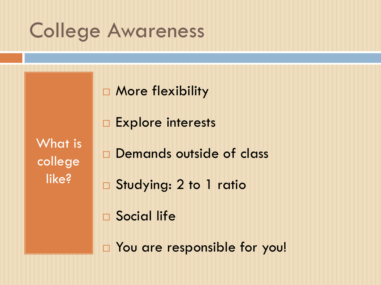### College Awareness

□ More flexibility

**Explore interests** 

What is college like?

Demands outside of class

□ Studying: 2 to 1 ratio

□ Social life

□ You are responsible for you!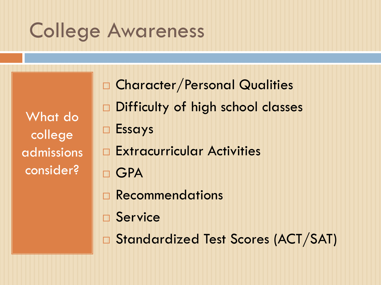### College Awareness

What do college admissions consider?

**Character/Personal Qualities** □ Difficulty of high school classes Essays **Extracurricular Activities** □ GPA Recommendations □ Service □ Standardized Test Scores (ACT/SAT)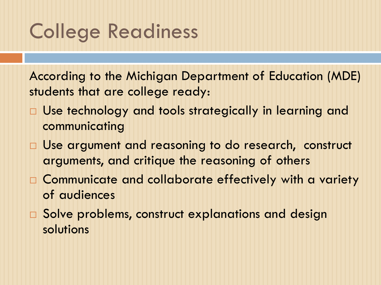## College Readiness

According to the Michigan Department of Education (MDE) students that are college ready:

- Use technology and tools strategically in learning and communicating
- Use argument and reasoning to do research, construct arguments, and critique the reasoning of others
- □ Communicate and collaborate effectively with a variety of audiences
- Solve problems, construct explanations and design solutions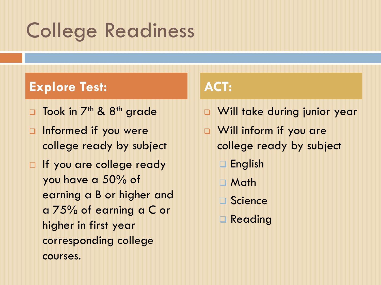## College Readiness

#### **Explore Test: ACT:**

- Took in 7<sup>th</sup> & 8<sup>th</sup> grade
- Informed if you were college ready by subject
- If you are college ready you have a 50% of earning a B or higher and a 75% of earning a C or higher in first year corresponding college courses.

- **D** Will take during junior year
- Will inform if you are college ready by subject
	- **English**
	- **D** Math
	- □ Science
	- **Reading**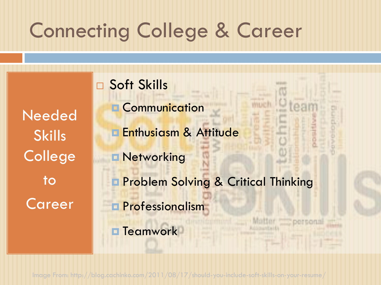## Connecting College & Career

Needed **Skills** College to Career

□ Soft Skills **E** Communication **Enthusiasm & Attitude Networking Problem Solving & Critical Thinking Professionalism** DOITONI **Teamwork** 

Image From: http://blog.cachinko.com/2011/08/17/should-you-include-soft-skills-on-your-resume/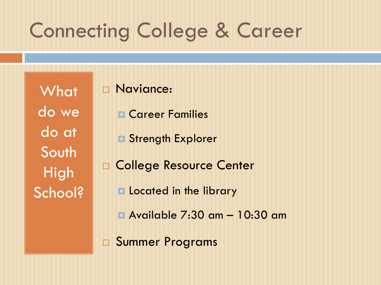## Connecting College & Career

**What** do we do at South High School?

#### **Naviance:**

- **E** Career Families
- **E** Strength Explorer
- **D College Resource Center** 
	- **E** Located in the library
	- Available 7:30 am 10:30 am
- □ Summer Programs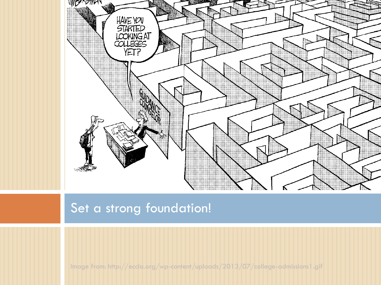

#### Set a strong foundation!

Image from: http://eccla.org/wp-content/uploads/2013/07/college-admissions1.gif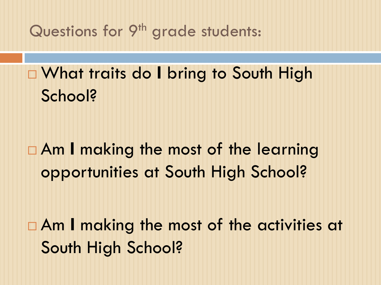#### Questions for 9<sup>th</sup> grade students:

What traits do **I** bring to South High School?

 Am **I** making the most of the learning opportunities at South High School?

 Am **I** making the most of the activities at South High School?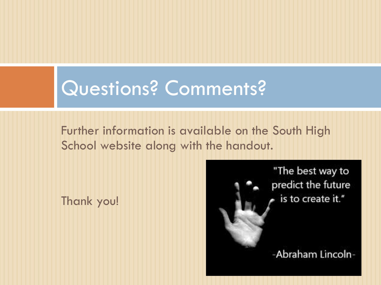#### Questions? Comments?

Further information is available on the South High School website along with the handout.

Thank you!

"The best way to predict the future is to create it."

-Abraham Lincoln-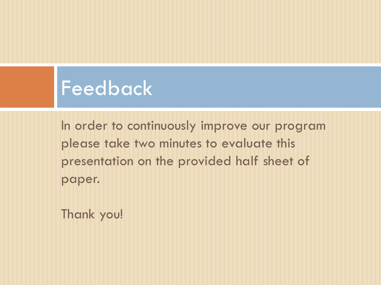#### Feedback

In order to continuously improve our program please take two minutes to evaluate this presentation on the provided half sheet of paper.

Thank you!